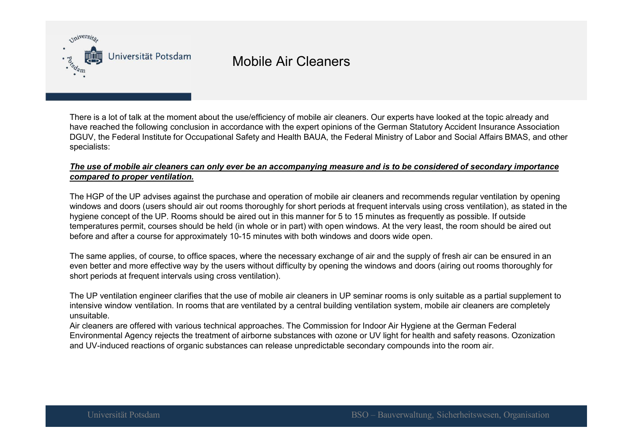

## Mobile Air Cleaners

There is a lot of talk at the moment about the use/efficiency of mobile air cleaners. Our experts have looked at the topic already and have reached the following conclusion in accordance with the expert opinions of the German Statutory Accident Insurance Association DGUV, the Federal Institute for Occupational Safety and Health BAUA, the Federal Ministry of Labor and Social Affairs BMAS, and other specialists:

## The use of mobile air cleaners can only ever be an accompanying measure and is to be considered of secondary importance compared to proper ventilation.

The HGP of the UP advises against the purchase and operation of mobile air cleaners and recommends regular ventilation by opening W<sup>iners</sup> (w<sup>iners</sup> is a lot of talk at the moment about the use/efficiency of mobile air cleaners. Our experts have looked at the topic already and<br><sup>You</sup>m<br>There is a lot of talk at the moment about the use/efficiency of mo hygiene concept of the UP. Rooms should be aired out in this manner for 5 to 15 minutes as frequently as possible. If outside there is a lot of talk at the moment about the use/efficiency of mobile air cleaners. Our experts have looked at the topic aiready and<br>There is a lot of talk at the moment about the use/efficiency of mobile air cleaners. O before and after a course for approximately 10-15 minutes with both windows and doors wide open. There is a lot of talk at the moment about the use efficiency of mobile air cleaners. Our experts have looked at the topic already and<br>There is a lot of talk at the moment about the use/efficiency of mobile air cleaners. O <sup>2798</sup>.<br>There is a lot of falk at the moment about the use/efficiency of mobile air cleaners. Our experts have locked at the topic already and<br>DGUV, the Federal institute for Occupational Safety and Health BAUA, the Federa

short periods at frequent intervals using cross ventilation).

The UP ventilation engineer clarifies that the use of mobile air cleaners in UP seminar rooms is only suitable as a partial supplement to intensive window ventilation. In rooms that are ventilated by a central building ventilation system, mobile air cleaners are completely unsuitable.

Air cleaners are offered with various technical approaches. The Commission for Indoor Air Hygiene at the German Federal Environmental Agency rejects the treatment of airborne substances with ozone or UV light for health and safety reasons. Ozonization and UV-induced reactions of organic substances can release unpredictable secondary compounds into the room air. eratures permit, courses should be held (in whole or in part) with open windows. At the very least, the room should be aired out<br>e and after a course for paproximately 10-15 minutes with both windows and doors wide open.<br>S